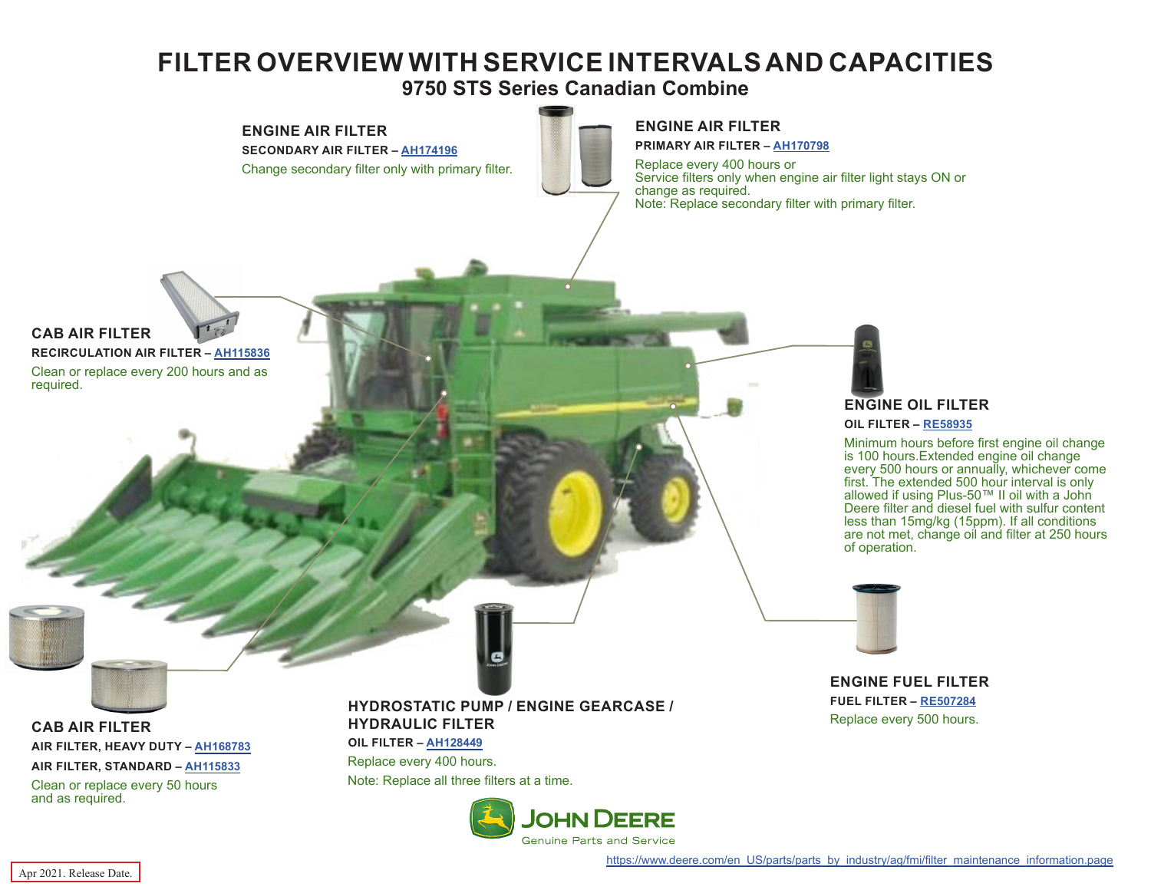## **FILTER OVERVIEW WITH SERVICE INTERVALS AND CAPACITIES**

**9750 STS Series Canadian Combine**



**ENGINE FUEL FILTER FUEL FILTER – [RE507284](https://jdparts.deere.com/servlet/com.deere.u90.jdparts.view.servlets.partinfocontroller.PartDetails?screenName=JDSearch&&partSearchNumber=

RE507284)** Replace every 500 hours.

**CAB AIR FILTER AIR FILTER, HEAVY DUTY – [AH168783](https://jdparts.deere.com/servlet/com.deere.u90.jdparts.view.servlets.partinfocontroller.PartDetails?screenName=JDSearch&&partSearchNumber=AH168783) AIR FILTER, STANDARD – [AH115833](https://jdparts.deere.com/servlet/com.deere.u90.jdparts.view.servlets.partinfocontroller.PartDetails?screenName=JDSearch&&partSearchNumber=AH115833)**

Clean or replace every 50 hours and as required.

## **HYDROSTATIC PUMP / ENGINE GEARCASE / HYDRAULIC FILTER**

**OIL FILTER – [AH128449](https://jdparts.deere.com/servlet/com.deere.u90.jdparts.view.servlets.partinfocontroller.PartDetails?screenName=JDSearch&&partSearchNumber=AH128449)** Replace every 400 hours. Note: Replace all three filters at a time.



required.